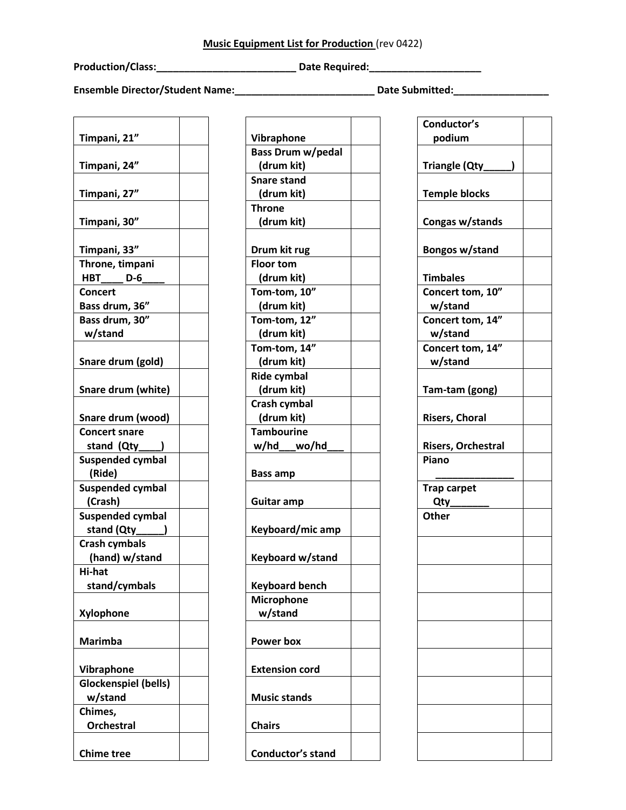**Production/Class:\_\_\_\_\_\_\_\_\_\_\_\_\_\_\_\_\_\_\_\_\_\_\_\_\_ Date Required:\_\_\_\_\_\_\_\_\_\_\_\_\_\_\_\_\_\_\_\_**

**Ensemble Director/Student Name:\_\_\_\_\_\_\_\_\_\_\_\_\_\_\_\_\_\_\_\_\_\_\_\_\_ Date Submitted:\_\_\_\_\_\_\_\_\_\_\_\_\_\_\_\_\_** 

| Timpani, 21"                         |  |
|--------------------------------------|--|
| Timpani, 24"                         |  |
| Timpani, 27"                         |  |
| Timpani, 30"                         |  |
|                                      |  |
| Timpani, 33"                         |  |
| Throne, timpani<br>$D-6$<br>HBT_____ |  |
| <b>Concert</b>                       |  |
| Bass drum, 36"                       |  |
| Bass drum, 30"                       |  |
| w/stand                              |  |
|                                      |  |
| Snare drum (gold)                    |  |
|                                      |  |
| Snare drum (white)                   |  |
|                                      |  |
| Snare drum (wood)                    |  |
| <b>Concert snare</b>                 |  |
| stand (Qty____                       |  |
| <b>Suspended cymbal</b>              |  |
| (Ride)                               |  |
| <b>Suspended cymbal</b>              |  |
| (Crash)                              |  |
| <b>Suspended cymbal</b>              |  |
| stand (Qty                           |  |
| <b>Crash cymbals</b>                 |  |
| (hand) w/stand                       |  |
| Hi-hat                               |  |
| stand/cymbals                        |  |
|                                      |  |
| Xylophone                            |  |
|                                      |  |
| <b>Marimba</b>                       |  |
|                                      |  |
| Vibraphone                           |  |
| <b>Glockenspiel (bells)</b>          |  |
| w/stand                              |  |
| Chimes,                              |  |
| <b>Orchestral</b>                    |  |
|                                      |  |
| <b>Chime tree</b>                    |  |

| Vibraphone               |  |
|--------------------------|--|
| <b>Bass Drum w/pedal</b> |  |
| (drum kit)               |  |
|                          |  |
| <b>Snare stand</b>       |  |
| (drum kit)               |  |
| <b>Throne</b>            |  |
| (drum kit)               |  |
| Drum kit rug             |  |
| <b>Floor tom</b>         |  |
| (drum kit)               |  |
| Tom-tom, 10"             |  |
| (drum kit)               |  |
| Tom-tom, 12"             |  |
| (drum kit)               |  |
| Tom-tom, 14"             |  |
| (drum kit)               |  |
| <b>Ride cymbal</b>       |  |
| (drum kit)               |  |
| Crash cymbal             |  |
| (drum kit)               |  |
| <b>Tambourine</b>        |  |
|                          |  |
| w/hd__wo/hd              |  |
| <b>Bass amp</b>          |  |
| Guitar amp               |  |
| Keyboard/mic amp         |  |
| Keyboard w/stand         |  |
| <b>Keyboard bench</b>    |  |
| <b>Microphone</b>        |  |
| w/stand                  |  |
| <b>Power box</b>         |  |
| <b>Extension cord</b>    |  |
| <b>Music stands</b>      |  |
|                          |  |
| <b>Chairs</b>            |  |

| Conductor's               |  |
|---------------------------|--|
| podium                    |  |
|                           |  |
|                           |  |
| Triangle (Qty_<br>)       |  |
|                           |  |
| <b>Temple blocks</b>      |  |
|                           |  |
| Congas w/stands           |  |
|                           |  |
|                           |  |
| Bongos w/stand            |  |
|                           |  |
| <b>Timbales</b>           |  |
| Concert tom, 10"          |  |
| w/stand                   |  |
|                           |  |
| Concert tom, 14"          |  |
| w/stand                   |  |
| Concert tom, 14"          |  |
| w/stand                   |  |
|                           |  |
|                           |  |
| Tam-tam (gong)            |  |
|                           |  |
| <b>Risers, Choral</b>     |  |
|                           |  |
| <b>Risers, Orchestral</b> |  |
|                           |  |
| Piano                     |  |
|                           |  |
| <b>Trap carpet</b>        |  |
| $Qty$ __                  |  |
| Other                     |  |
|                           |  |
|                           |  |
|                           |  |
|                           |  |
|                           |  |
|                           |  |
|                           |  |
|                           |  |
|                           |  |
|                           |  |
|                           |  |
|                           |  |
|                           |  |
|                           |  |
|                           |  |
|                           |  |
|                           |  |
|                           |  |
|                           |  |
|                           |  |
|                           |  |